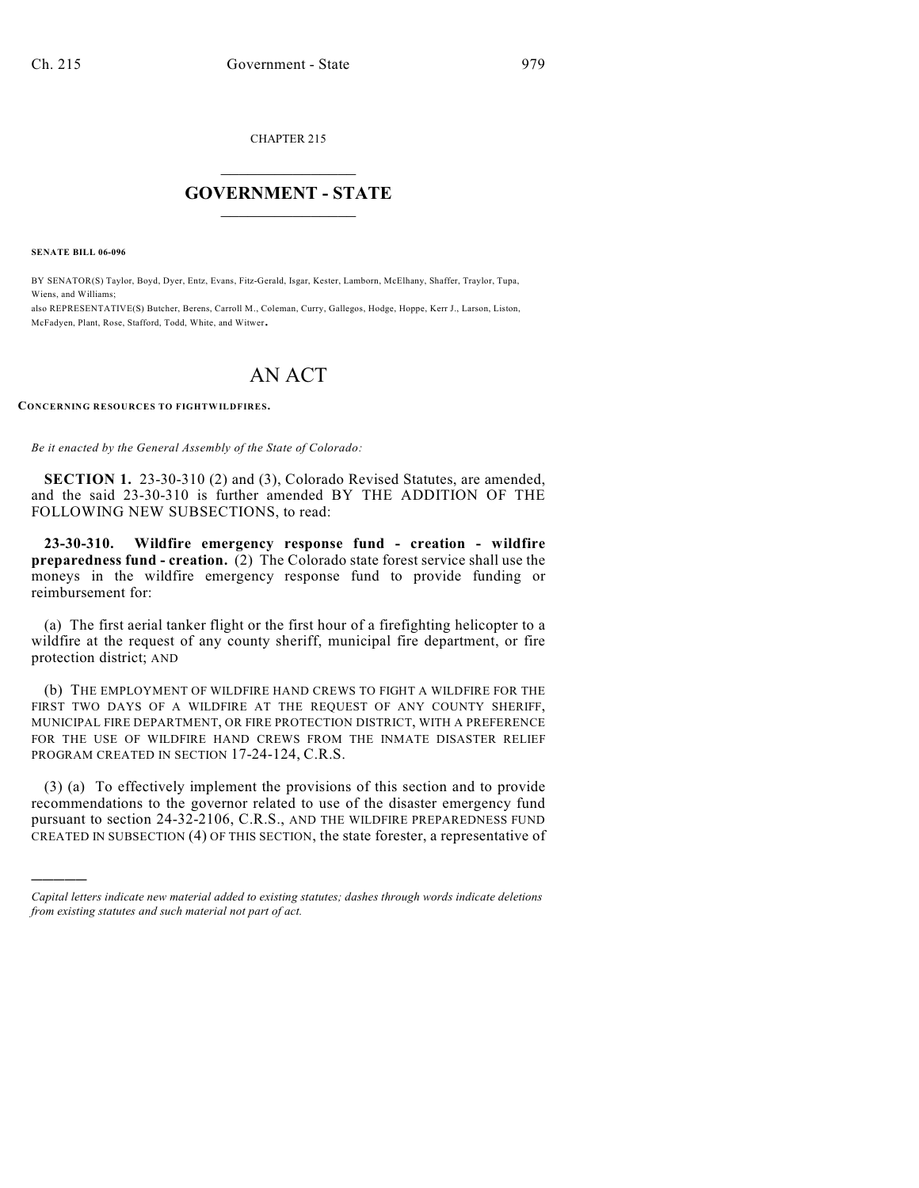CHAPTER 215

# $\mathcal{L}_\text{max}$  . The set of the set of the set of the set of the set of the set of the set of the set of the set of the set of the set of the set of the set of the set of the set of the set of the set of the set of the set **GOVERNMENT - STATE**  $\_$   $\_$   $\_$   $\_$   $\_$   $\_$   $\_$   $\_$   $\_$

**SENATE BILL 06-096**

)))))

BY SENATOR(S) Taylor, Boyd, Dyer, Entz, Evans, Fitz-Gerald, Isgar, Kester, Lamborn, McElhany, Shaffer, Traylor, Tupa, Wiens, and Williams;

also REPRESENTATIVE(S) Butcher, Berens, Carroll M., Coleman, Curry, Gallegos, Hodge, Hoppe, Kerr J., Larson, Liston, McFadyen, Plant, Rose, Stafford, Todd, White, and Witwer.

# AN ACT

**CONCERNING RESOURCES TO FIGHTWILDFIRES.** 

*Be it enacted by the General Assembly of the State of Colorado:*

**SECTION 1.** 23-30-310 (2) and (3), Colorado Revised Statutes, are amended, and the said 23-30-310 is further amended BY THE ADDITION OF THE FOLLOWING NEW SUBSECTIONS, to read:

**23-30-310. Wildfire emergency response fund - creation - wildfire preparedness fund - creation.** (2) The Colorado state forest service shall use the moneys in the wildfire emergency response fund to provide funding or reimbursement for:

(a) The first aerial tanker flight or the first hour of a firefighting helicopter to a wildfire at the request of any county sheriff, municipal fire department, or fire protection district; AND

(b) THE EMPLOYMENT OF WILDFIRE HAND CREWS TO FIGHT A WILDFIRE FOR THE FIRST TWO DAYS OF A WILDFIRE AT THE REQUEST OF ANY COUNTY SHERIFF, MUNICIPAL FIRE DEPARTMENT, OR FIRE PROTECTION DISTRICT, WITH A PREFERENCE FOR THE USE OF WILDFIRE HAND CREWS FROM THE INMATE DISASTER RELIEF PROGRAM CREATED IN SECTION 17-24-124, C.R.S.

(3) (a) To effectively implement the provisions of this section and to provide recommendations to the governor related to use of the disaster emergency fund pursuant to section 24-32-2106, C.R.S., AND THE WILDFIRE PREPAREDNESS FUND CREATED IN SUBSECTION (4) OF THIS SECTION, the state forester, a representative of

*Capital letters indicate new material added to existing statutes; dashes through words indicate deletions from existing statutes and such material not part of act.*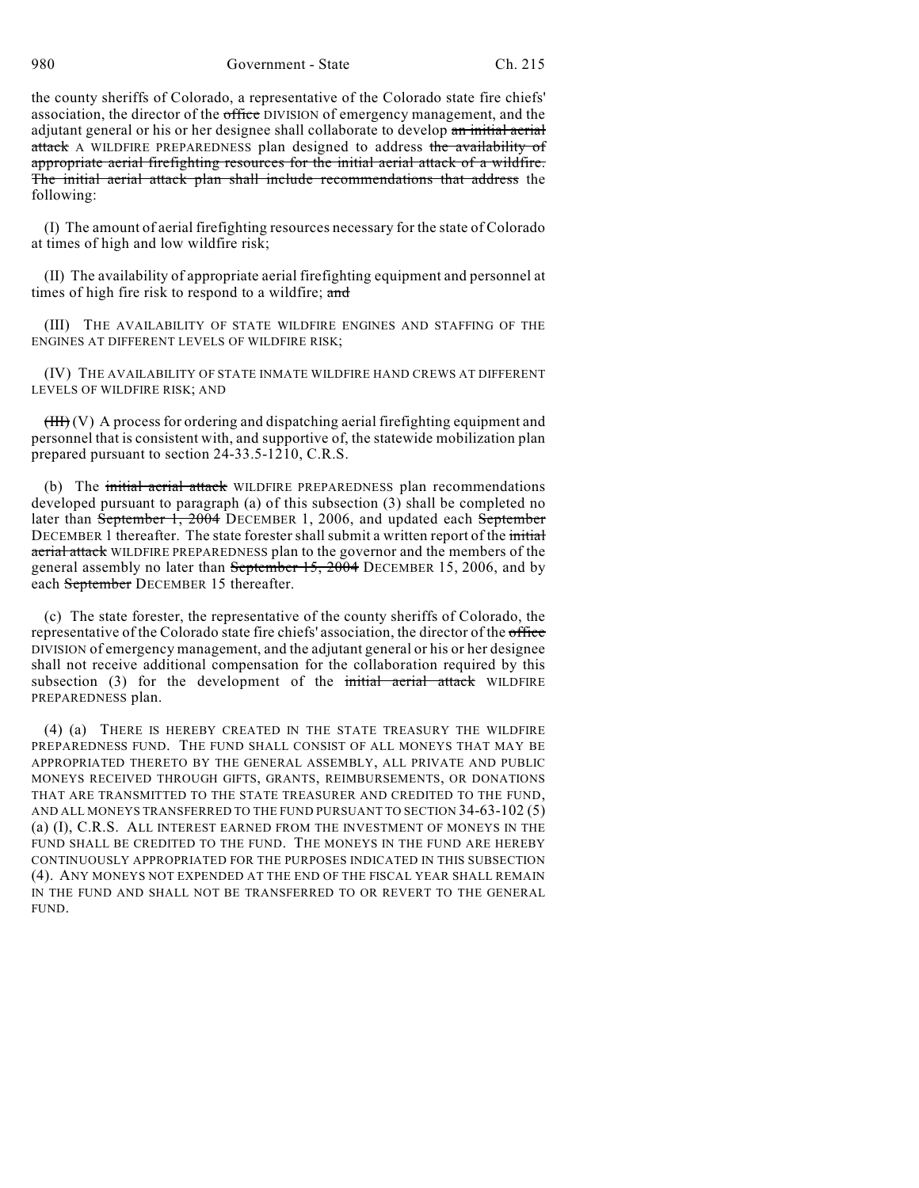980 Government - State Ch. 215

the county sheriffs of Colorado, a representative of the Colorado state fire chiefs' association, the director of the office DIVISION of emergency management, and the adjutant general or his or her designee shall collaborate to develop an initial aerial attack A WILDFIRE PREPAREDNESS plan designed to address the availability of appropriate aerial firefighting resources for the initial aerial attack of a wildfire. The initial aerial attack plan shall include recommendations that address the following:

(I) The amount of aerial firefighting resources necessary for the state of Colorado at times of high and low wildfire risk;

(II) The availability of appropriate aerial firefighting equipment and personnel at times of high fire risk to respond to a wildfire; and

(III) THE AVAILABILITY OF STATE WILDFIRE ENGINES AND STAFFING OF THE ENGINES AT DIFFERENT LEVELS OF WILDFIRE RISK;

(IV) THE AVAILABILITY OF STATE INMATE WILDFIRE HAND CREWS AT DIFFERENT LEVELS OF WILDFIRE RISK; AND

 $(HH)(V)$  A process for ordering and dispatching aerial firefighting equipment and personnel that is consistent with, and supportive of, the statewide mobilization plan prepared pursuant to section 24-33.5-1210, C.R.S.

(b) The initial aerial attack WILDFIRE PREPAREDNESS plan recommendations developed pursuant to paragraph (a) of this subsection (3) shall be completed no later than September 1, 2004 DECEMBER 1, 2006, and updated each September DECEMBER 1 thereafter. The state forester shall submit a written report of the *initial* aerial attack WILDFIRE PREPAREDNESS plan to the governor and the members of the general assembly no later than September 15, 2004 DECEMBER 15, 2006, and by each September DECEMBER 15 thereafter.

(c) The state forester, the representative of the county sheriffs of Colorado, the representative of the Colorado state fire chiefs' association, the director of the office DIVISION of emergency management, and the adjutant general or his or her designee shall not receive additional compensation for the collaboration required by this subsection (3) for the development of the initial aerial attack WILDFIRE PREPAREDNESS plan.

(4) (a) THERE IS HEREBY CREATED IN THE STATE TREASURY THE WILDFIRE PREPAREDNESS FUND. THE FUND SHALL CONSIST OF ALL MONEYS THAT MAY BE APPROPRIATED THERETO BY THE GENERAL ASSEMBLY, ALL PRIVATE AND PUBLIC MONEYS RECEIVED THROUGH GIFTS, GRANTS, REIMBURSEMENTS, OR DONATIONS THAT ARE TRANSMITTED TO THE STATE TREASURER AND CREDITED TO THE FUND, AND ALL MONEYS TRANSFERRED TO THE FUND PURSUANT TO SECTION 34-63-102 (5) (a) (I), C.R.S. ALL INTEREST EARNED FROM THE INVESTMENT OF MONEYS IN THE FUND SHALL BE CREDITED TO THE FUND. THE MONEYS IN THE FUND ARE HEREBY CONTINUOUSLY APPROPRIATED FOR THE PURPOSES INDICATED IN THIS SUBSECTION (4). ANY MONEYS NOT EXPENDED AT THE END OF THE FISCAL YEAR SHALL REMAIN IN THE FUND AND SHALL NOT BE TRANSFERRED TO OR REVERT TO THE GENERAL FUND.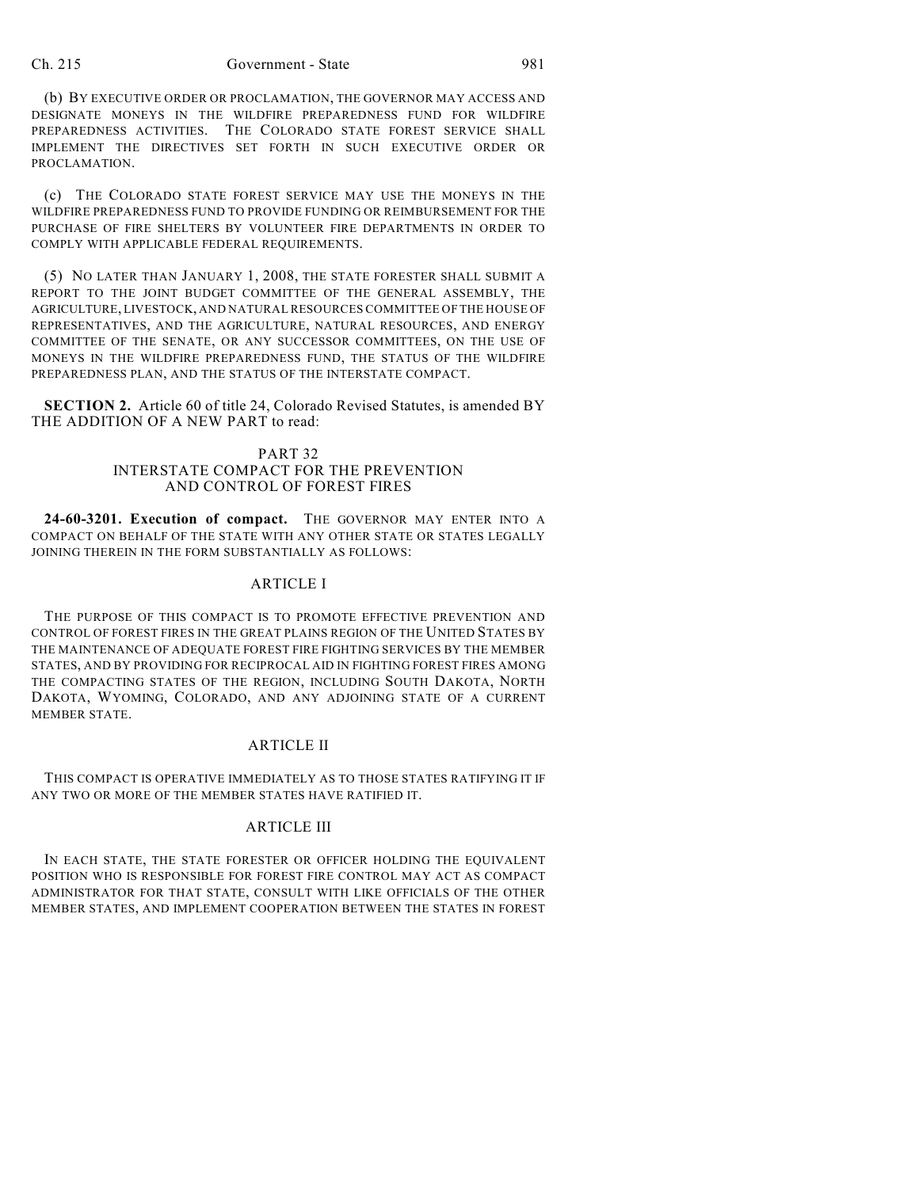#### Ch. 215 Government - State 981

(b) BY EXECUTIVE ORDER OR PROCLAMATION, THE GOVERNOR MAY ACCESS AND DESIGNATE MONEYS IN THE WILDFIRE PREPAREDNESS FUND FOR WILDFIRE PREPAREDNESS ACTIVITIES. THE COLORADO STATE FOREST SERVICE SHALL IMPLEMENT THE DIRECTIVES SET FORTH IN SUCH EXECUTIVE ORDER OR PROCLAMATION.

(c) THE COLORADO STATE FOREST SERVICE MAY USE THE MONEYS IN THE WILDFIRE PREPAREDNESS FUND TO PROVIDE FUNDING OR REIMBURSEMENT FOR THE PURCHASE OF FIRE SHELTERS BY VOLUNTEER FIRE DEPARTMENTS IN ORDER TO COMPLY WITH APPLICABLE FEDERAL REQUIREMENTS.

(5) NO LATER THAN JANUARY 1, 2008, THE STATE FORESTER SHALL SUBMIT A REPORT TO THE JOINT BUDGET COMMITTEE OF THE GENERAL ASSEMBLY, THE AGRICULTURE, LIVESTOCK, AND NATURAL RESOURCES COMMITTEE OF THE HOUSE OF REPRESENTATIVES, AND THE AGRICULTURE, NATURAL RESOURCES, AND ENERGY COMMITTEE OF THE SENATE, OR ANY SUCCESSOR COMMITTEES, ON THE USE OF MONEYS IN THE WILDFIRE PREPAREDNESS FUND, THE STATUS OF THE WILDFIRE PREPAREDNESS PLAN, AND THE STATUS OF THE INTERSTATE COMPACT.

**SECTION 2.** Article 60 of title 24, Colorado Revised Statutes, is amended BY THE ADDITION OF A NEW PART to read:

## PART 32 INTERSTATE COMPACT FOR THE PREVENTION AND CONTROL OF FOREST FIRES

**24-60-3201. Execution of compact.** THE GOVERNOR MAY ENTER INTO A COMPACT ON BEHALF OF THE STATE WITH ANY OTHER STATE OR STATES LEGALLY JOINING THEREIN IN THE FORM SUBSTANTIALLY AS FOLLOWS:

#### ARTICLE I

THE PURPOSE OF THIS COMPACT IS TO PROMOTE EFFECTIVE PREVENTION AND CONTROL OF FOREST FIRES IN THE GREAT PLAINS REGION OF THE UNITED STATES BY THE MAINTENANCE OF ADEQUATE FOREST FIRE FIGHTING SERVICES BY THE MEMBER STATES, AND BY PROVIDING FOR RECIPROCAL AID IN FIGHTING FOREST FIRES AMONG THE COMPACTING STATES OF THE REGION, INCLUDING SOUTH DAKOTA, NORTH DAKOTA, WYOMING, COLORADO, AND ANY ADJOINING STATE OF A CURRENT MEMBER STATE.

#### ARTICLE II

THIS COMPACT IS OPERATIVE IMMEDIATELY AS TO THOSE STATES RATIFYING IT IF ANY TWO OR MORE OF THE MEMBER STATES HAVE RATIFIED IT.

### ARTICLE III

IN EACH STATE, THE STATE FORESTER OR OFFICER HOLDING THE EQUIVALENT POSITION WHO IS RESPONSIBLE FOR FOREST FIRE CONTROL MAY ACT AS COMPACT ADMINISTRATOR FOR THAT STATE, CONSULT WITH LIKE OFFICIALS OF THE OTHER MEMBER STATES, AND IMPLEMENT COOPERATION BETWEEN THE STATES IN FOREST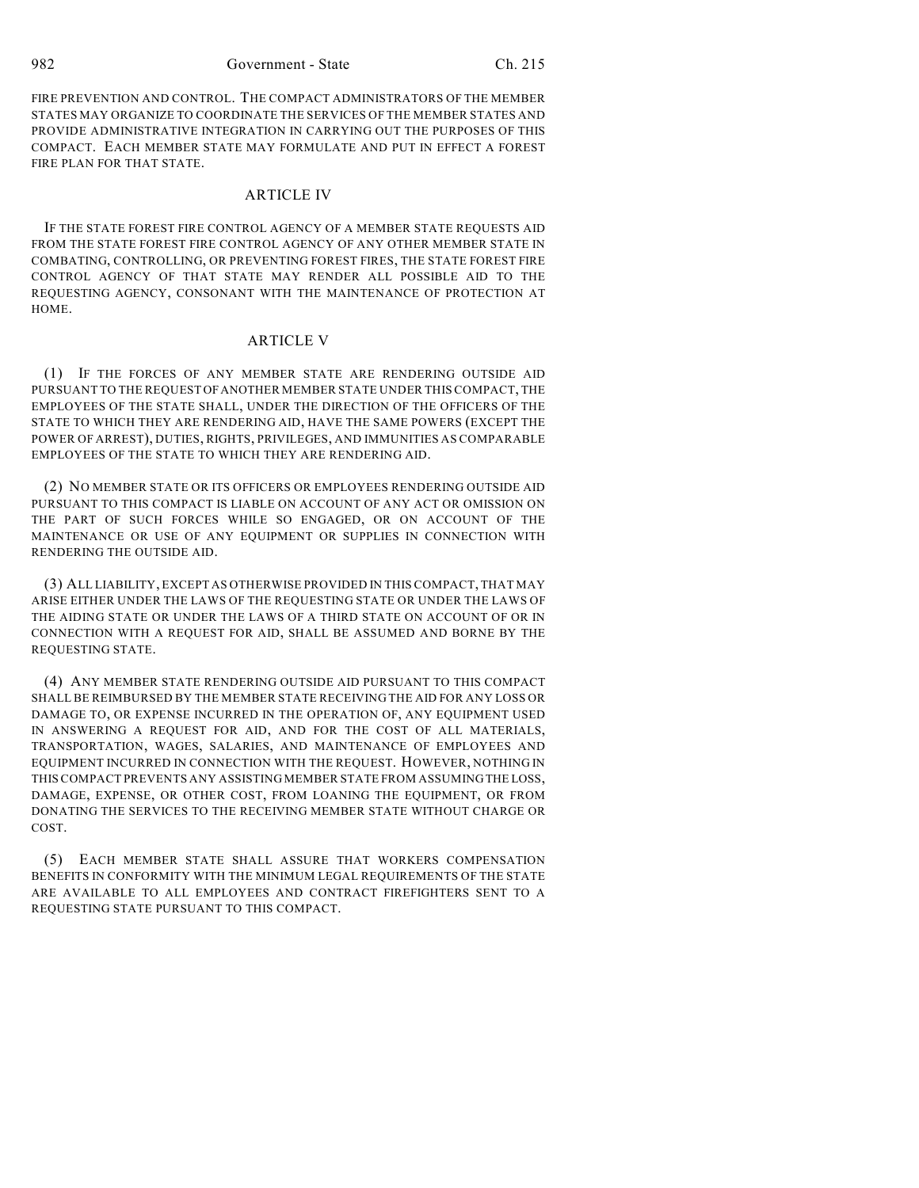982 Government - State Ch. 215

FIRE PREVENTION AND CONTROL. THE COMPACT ADMINISTRATORS OF THE MEMBER STATES MAY ORGANIZE TO COORDINATE THE SERVICES OF THE MEMBER STATES AND PROVIDE ADMINISTRATIVE INTEGRATION IN CARRYING OUT THE PURPOSES OF THIS COMPACT. EACH MEMBER STATE MAY FORMULATE AND PUT IN EFFECT A FOREST FIRE PLAN FOR THAT STATE.

#### ARTICLE IV

IF THE STATE FOREST FIRE CONTROL AGENCY OF A MEMBER STATE REQUESTS AID FROM THE STATE FOREST FIRE CONTROL AGENCY OF ANY OTHER MEMBER STATE IN COMBATING, CONTROLLING, OR PREVENTING FOREST FIRES, THE STATE FOREST FIRE CONTROL AGENCY OF THAT STATE MAY RENDER ALL POSSIBLE AID TO THE REQUESTING AGENCY, CONSONANT WITH THE MAINTENANCE OF PROTECTION AT HOME.

#### ARTICLE V

(1) IF THE FORCES OF ANY MEMBER STATE ARE RENDERING OUTSIDE AID PURSUANT TO THE REQUEST OF ANOTHER MEMBER STATE UNDER THIS COMPACT, THE EMPLOYEES OF THE STATE SHALL, UNDER THE DIRECTION OF THE OFFICERS OF THE STATE TO WHICH THEY ARE RENDERING AID, HAVE THE SAME POWERS (EXCEPT THE POWER OF ARREST), DUTIES, RIGHTS, PRIVILEGES, AND IMMUNITIES AS COMPARABLE EMPLOYEES OF THE STATE TO WHICH THEY ARE RENDERING AID.

(2) NO MEMBER STATE OR ITS OFFICERS OR EMPLOYEES RENDERING OUTSIDE AID PURSUANT TO THIS COMPACT IS LIABLE ON ACCOUNT OF ANY ACT OR OMISSION ON THE PART OF SUCH FORCES WHILE SO ENGAGED, OR ON ACCOUNT OF THE MAINTENANCE OR USE OF ANY EQUIPMENT OR SUPPLIES IN CONNECTION WITH RENDERING THE OUTSIDE AID.

(3) ALL LIABILITY, EXCEPT AS OTHERWISE PROVIDED IN THIS COMPACT, THAT MAY ARISE EITHER UNDER THE LAWS OF THE REQUESTING STATE OR UNDER THE LAWS OF THE AIDING STATE OR UNDER THE LAWS OF A THIRD STATE ON ACCOUNT OF OR IN CONNECTION WITH A REQUEST FOR AID, SHALL BE ASSUMED AND BORNE BY THE REQUESTING STATE.

(4) ANY MEMBER STATE RENDERING OUTSIDE AID PURSUANT TO THIS COMPACT SHALL BE REIMBURSED BY THE MEMBER STATE RECEIVING THE AID FOR ANY LOSS OR DAMAGE TO, OR EXPENSE INCURRED IN THE OPERATION OF, ANY EQUIPMENT USED IN ANSWERING A REQUEST FOR AID, AND FOR THE COST OF ALL MATERIALS, TRANSPORTATION, WAGES, SALARIES, AND MAINTENANCE OF EMPLOYEES AND EQUIPMENT INCURRED IN CONNECTION WITH THE REQUEST. HOWEVER, NOTHING IN THIS COMPACT PREVENTS ANY ASSISTING MEMBER STATE FROM ASSUMING THE LOSS, DAMAGE, EXPENSE, OR OTHER COST, FROM LOANING THE EQUIPMENT, OR FROM DONATING THE SERVICES TO THE RECEIVING MEMBER STATE WITHOUT CHARGE OR COST.

(5) EACH MEMBER STATE SHALL ASSURE THAT WORKERS COMPENSATION BENEFITS IN CONFORMITY WITH THE MINIMUM LEGAL REQUIREMENTS OF THE STATE ARE AVAILABLE TO ALL EMPLOYEES AND CONTRACT FIREFIGHTERS SENT TO A REQUESTING STATE PURSUANT TO THIS COMPACT.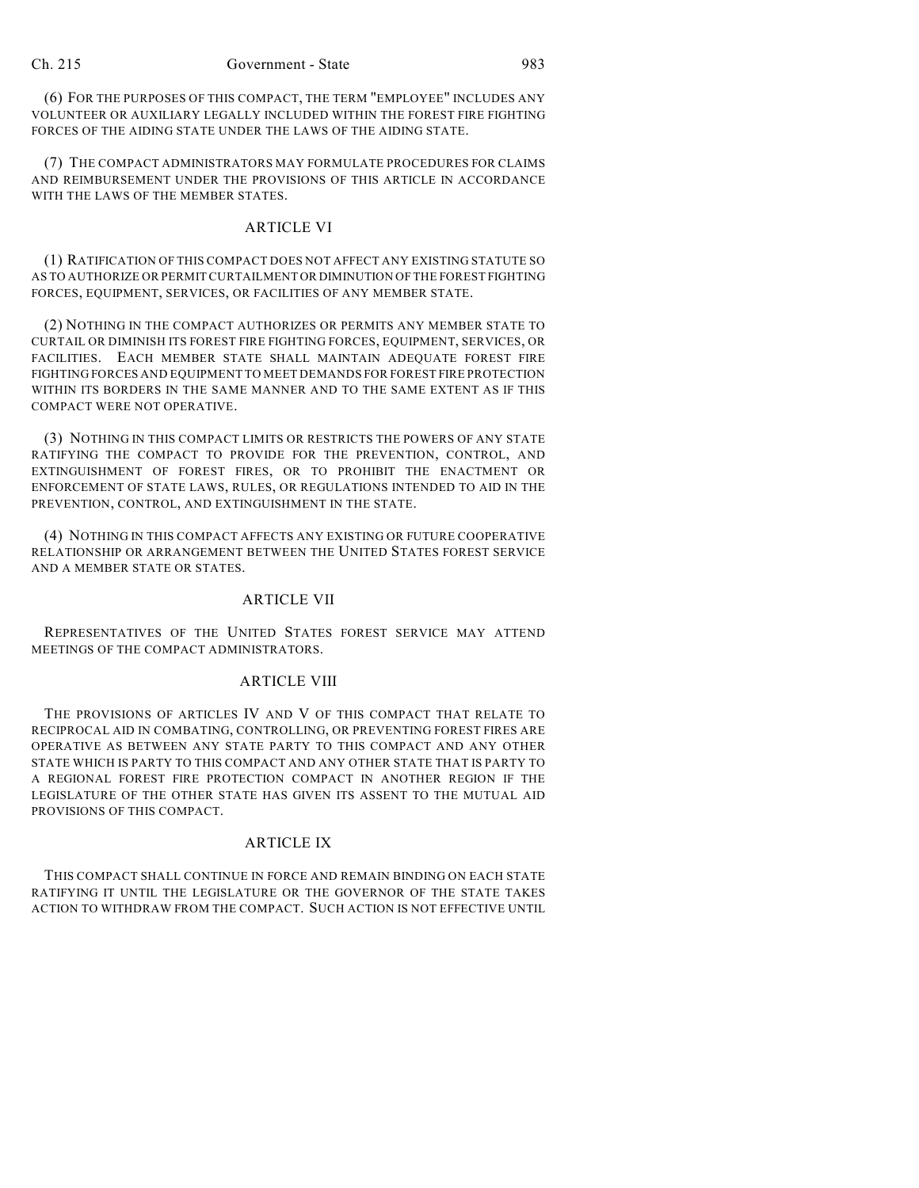(6) FOR THE PURPOSES OF THIS COMPACT, THE TERM "EMPLOYEE" INCLUDES ANY VOLUNTEER OR AUXILIARY LEGALLY INCLUDED WITHIN THE FOREST FIRE FIGHTING FORCES OF THE AIDING STATE UNDER THE LAWS OF THE AIDING STATE.

(7) THE COMPACT ADMINISTRATORS MAY FORMULATE PROCEDURES FOR CLAIMS AND REIMBURSEMENT UNDER THE PROVISIONS OF THIS ARTICLE IN ACCORDANCE WITH THE LAWS OF THE MEMBER STATES.

# ARTICLE VI

(1) RATIFICATION OF THIS COMPACT DOES NOT AFFECT ANY EXISTING STATUTE SO AS TO AUTHORIZE OR PERMIT CURTAILMENT OR DIMINUTION OF THE FOREST FIGHTING FORCES, EQUIPMENT, SERVICES, OR FACILITIES OF ANY MEMBER STATE.

(2) NOTHING IN THE COMPACT AUTHORIZES OR PERMITS ANY MEMBER STATE TO CURTAIL OR DIMINISH ITS FOREST FIRE FIGHTING FORCES, EQUIPMENT, SERVICES, OR FACILITIES. EACH MEMBER STATE SHALL MAINTAIN ADEQUATE FOREST FIRE FIGHTING FORCES AND EQUIPMENT TO MEET DEMANDS FOR FOREST FIRE PROTECTION WITHIN ITS BORDERS IN THE SAME MANNER AND TO THE SAME EXTENT AS IF THIS COMPACT WERE NOT OPERATIVE.

(3) NOTHING IN THIS COMPACT LIMITS OR RESTRICTS THE POWERS OF ANY STATE RATIFYING THE COMPACT TO PROVIDE FOR THE PREVENTION, CONTROL, AND EXTINGUISHMENT OF FOREST FIRES, OR TO PROHIBIT THE ENACTMENT OR ENFORCEMENT OF STATE LAWS, RULES, OR REGULATIONS INTENDED TO AID IN THE PREVENTION, CONTROL, AND EXTINGUISHMENT IN THE STATE.

(4) NOTHING IN THIS COMPACT AFFECTS ANY EXISTING OR FUTURE COOPERATIVE RELATIONSHIP OR ARRANGEMENT BETWEEN THE UNITED STATES FOREST SERVICE AND A MEMBER STATE OR STATES.

## ARTICLE VII

REPRESENTATIVES OF THE UNITED STATES FOREST SERVICE MAY ATTEND MEETINGS OF THE COMPACT ADMINISTRATORS.

#### ARTICLE VIII

THE PROVISIONS OF ARTICLES IV AND V OF THIS COMPACT THAT RELATE TO RECIPROCAL AID IN COMBATING, CONTROLLING, OR PREVENTING FOREST FIRES ARE OPERATIVE AS BETWEEN ANY STATE PARTY TO THIS COMPACT AND ANY OTHER STATE WHICH IS PARTY TO THIS COMPACT AND ANY OTHER STATE THAT IS PARTY TO A REGIONAL FOREST FIRE PROTECTION COMPACT IN ANOTHER REGION IF THE LEGISLATURE OF THE OTHER STATE HAS GIVEN ITS ASSENT TO THE MUTUAL AID PROVISIONS OF THIS COMPACT.

#### ARTICLE IX

THIS COMPACT SHALL CONTINUE IN FORCE AND REMAIN BINDING ON EACH STATE RATIFYING IT UNTIL THE LEGISLATURE OR THE GOVERNOR OF THE STATE TAKES ACTION TO WITHDRAW FROM THE COMPACT. SUCH ACTION IS NOT EFFECTIVE UNTIL